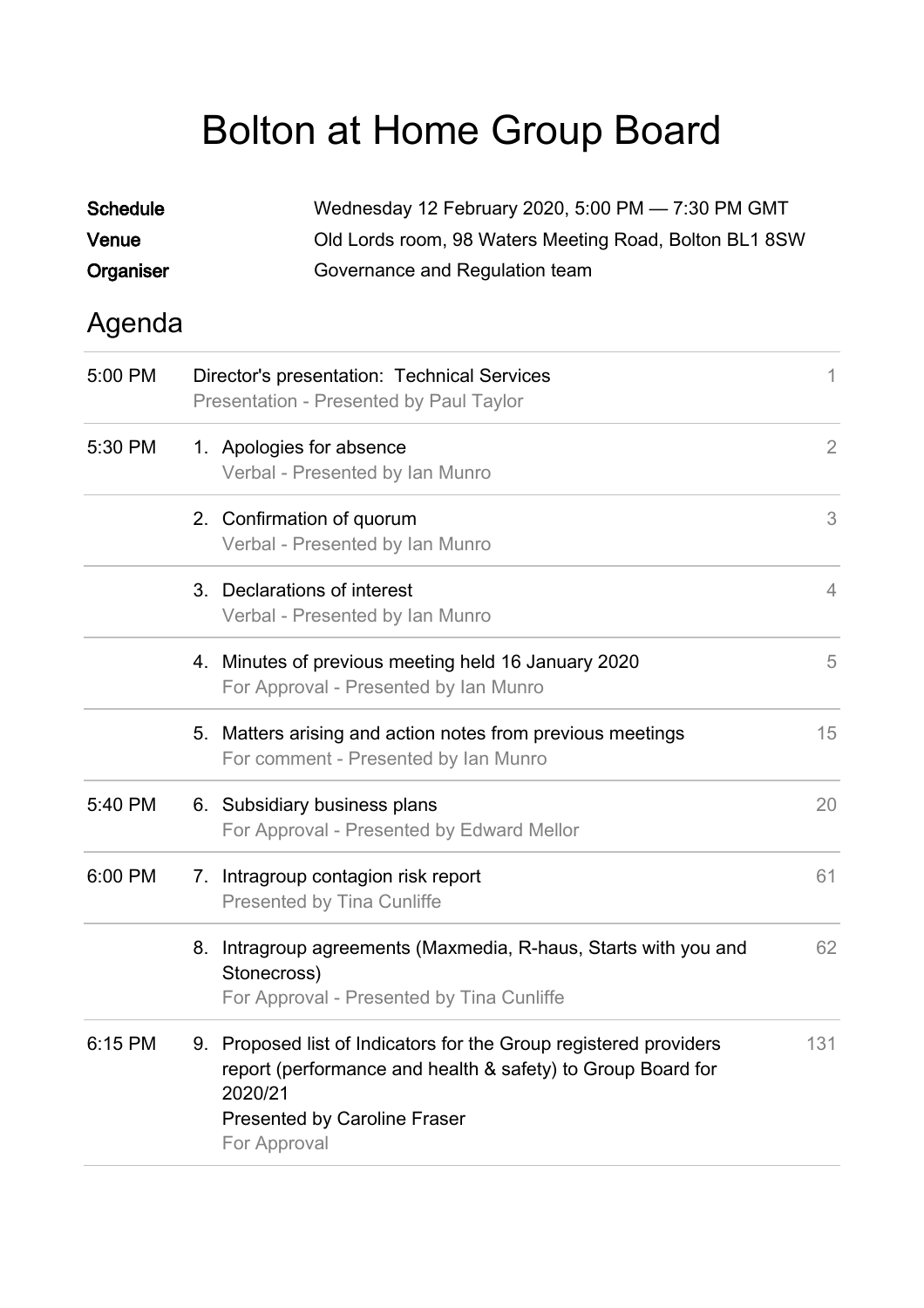## Bolton at Home Group Board

| <b>Schedule</b><br>Venue | Wednesday 12 February 2020, 5:00 PM - 7:30 PM GMT<br>Old Lords room, 98 Waters Meeting Road, Bolton BL1 8SW |                                                                                                                                                                                             |                |  |  |
|--------------------------|-------------------------------------------------------------------------------------------------------------|---------------------------------------------------------------------------------------------------------------------------------------------------------------------------------------------|----------------|--|--|
| Organiser                |                                                                                                             | Governance and Regulation team                                                                                                                                                              |                |  |  |
| Agenda                   |                                                                                                             |                                                                                                                                                                                             |                |  |  |
| 5:00 PM                  |                                                                                                             | Director's presentation: Technical Services<br>Presentation - Presented by Paul Taylor                                                                                                      | 1.             |  |  |
| 5:30 PM                  |                                                                                                             | 1. Apologies for absence<br>Verbal - Presented by Ian Munro                                                                                                                                 | $\overline{2}$ |  |  |
|                          |                                                                                                             | 2. Confirmation of quorum<br>Verbal - Presented by Ian Munro                                                                                                                                | 3              |  |  |
|                          |                                                                                                             | 3. Declarations of interest<br>Verbal - Presented by Ian Munro                                                                                                                              | $\overline{4}$ |  |  |
|                          |                                                                                                             | 4. Minutes of previous meeting held 16 January 2020<br>For Approval - Presented by Ian Munro                                                                                                | 5              |  |  |
|                          |                                                                                                             | 5. Matters arising and action notes from previous meetings<br>For comment - Presented by Ian Munro                                                                                          | 15             |  |  |
| 5:40 PM                  |                                                                                                             | 6. Subsidiary business plans<br>For Approval - Presented by Edward Mellor                                                                                                                   | 20             |  |  |
| 6:00 PM                  |                                                                                                             | 7. Intragroup contagion risk report<br><b>Presented by Tina Cunliffe</b>                                                                                                                    | 61             |  |  |
|                          | 8.                                                                                                          | Intragroup agreements (Maxmedia, R-haus, Starts with you and<br>Stonecross)<br>For Approval - Presented by Tina Cunliffe                                                                    | 62             |  |  |
| 6:15 PM                  |                                                                                                             | 9. Proposed list of Indicators for the Group registered providers<br>report (performance and health & safety) to Group Board for<br>2020/21<br>Presented by Caroline Fraser<br>For Approval | 131            |  |  |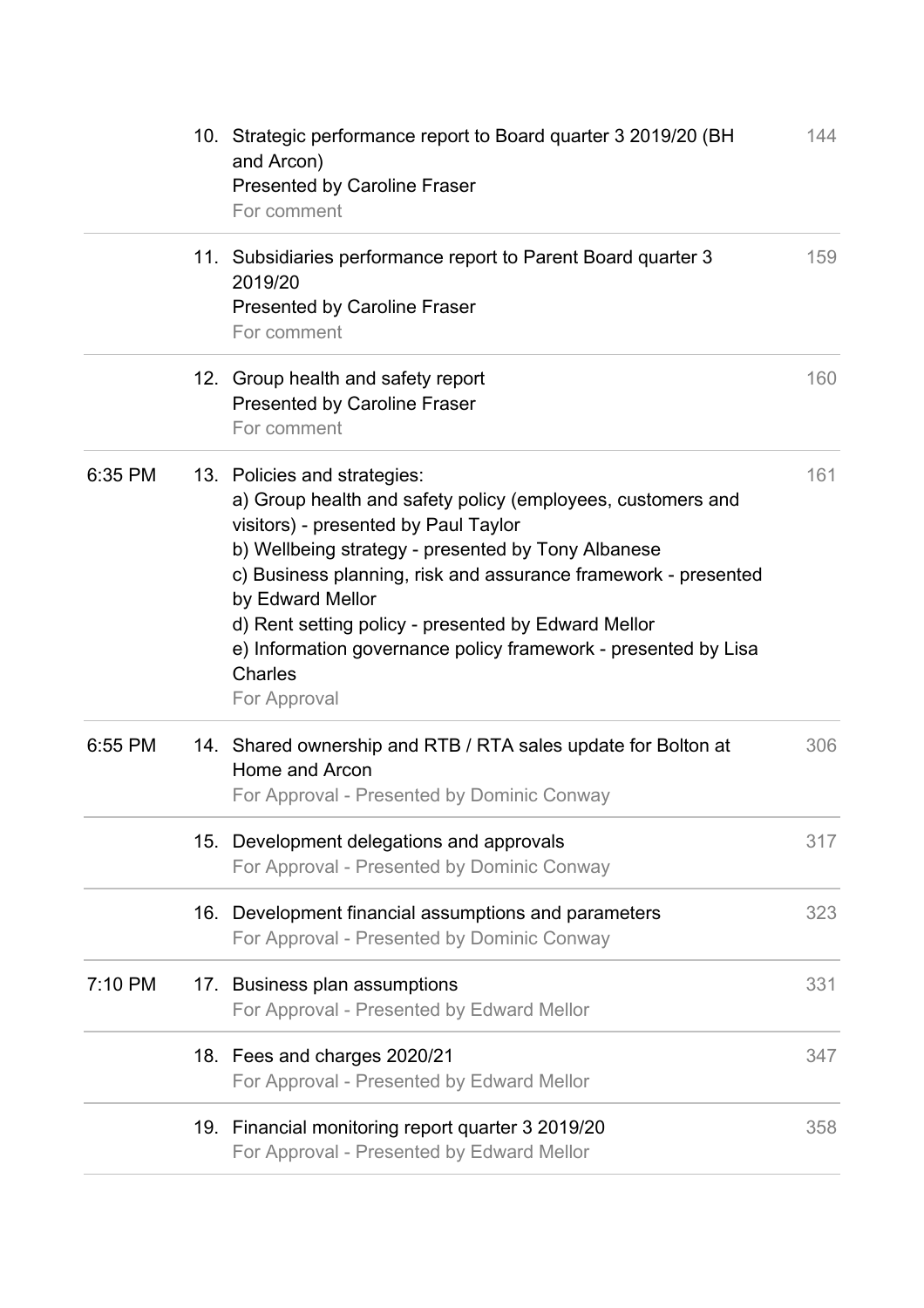|         | 10. Strategic performance report to Board quarter 3 2019/20 (BH<br>and Arcon)<br>Presented by Caroline Fraser<br>For comment                                                                                                                                                                                                                                                                                                        | 144 |
|---------|-------------------------------------------------------------------------------------------------------------------------------------------------------------------------------------------------------------------------------------------------------------------------------------------------------------------------------------------------------------------------------------------------------------------------------------|-----|
|         | 11. Subsidiaries performance report to Parent Board quarter 3<br>2019/20<br><b>Presented by Caroline Fraser</b><br>For comment                                                                                                                                                                                                                                                                                                      | 159 |
|         | 12. Group health and safety report<br><b>Presented by Caroline Fraser</b><br>For comment                                                                                                                                                                                                                                                                                                                                            | 160 |
| 6:35 PM | 13. Policies and strategies:<br>a) Group health and safety policy (employees, customers and<br>visitors) - presented by Paul Taylor<br>b) Wellbeing strategy - presented by Tony Albanese<br>c) Business planning, risk and assurance framework - presented<br>by Edward Mellor<br>d) Rent setting policy - presented by Edward Mellor<br>e) Information governance policy framework - presented by Lisa<br>Charles<br>For Approval | 161 |
| 6:55 PM | 14. Shared ownership and RTB / RTA sales update for Bolton at<br>Home and Arcon<br>For Approval - Presented by Dominic Conway                                                                                                                                                                                                                                                                                                       | 306 |
|         | 15. Development delegations and approvals<br>For Approval - Presented by Dominic Conway                                                                                                                                                                                                                                                                                                                                             | 317 |
|         | 16. Development financial assumptions and parameters<br>For Approval - Presented by Dominic Conway                                                                                                                                                                                                                                                                                                                                  | 323 |
| 7:10 PM | 17. Business plan assumptions<br>For Approval - Presented by Edward Mellor                                                                                                                                                                                                                                                                                                                                                          | 331 |
|         | 18. Fees and charges 2020/21<br>For Approval - Presented by Edward Mellor                                                                                                                                                                                                                                                                                                                                                           | 347 |
|         | 19. Financial monitoring report quarter 3 2019/20<br>For Approval - Presented by Edward Mellor                                                                                                                                                                                                                                                                                                                                      | 358 |